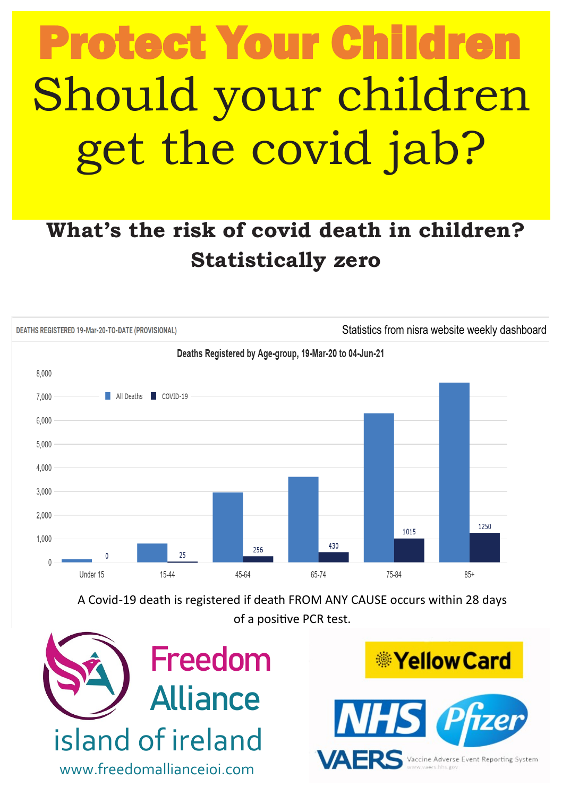# Should your children get the covid jab? **Protect Your Childre**

### **What's the risk of covid death in children? Statistically zero**



A Covid-19 death is registered if death FROM ANY CAUSE occurs within 28 days of a positive PCR test.